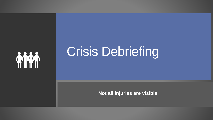

## Crisis Debriefing

**Not all injuries are visible**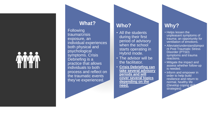#### **What?**

**Following** trauma/crisis exposure, an individual experiences both physical and psychological symptoms. Crisis Debriefing is a practice that allows individuals to both process and reflect on the traumatic events they've experienced.

#### **Who?**

- All the students during their first period of advisory when the school starts operating in Hybrid mode.
- The advisor will be the facilitator.
- **Crisis Debriefing can take several advisory periods and will cover several topics depending on the need.**

### **Why?**

- Helps lessen the unpleasant symptoms of trauma: an opportunity for ventilation of emotions.
- Alleviate/understand/pinpoi nt Post Traumatic Stress Disorder (PTSD) symptoms and trauma reactions.
- Mitigate the impact and assess whether follow-up is needed.
- Inform and empower in order to help build resilience and return to normal, healthy life (Develop coping  $skil<sup>u</sup>$ strategies).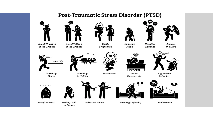#### Post-Traumatic Stress Disorder (PTSD)



**Avoid Thinking** of the Trauma



**Avoid Talking** of the Trauma



Easily Frightened



**Negative Thinking** 





on Guard

عت

Avoiding Places



Avoiding **Activities** 



Flashbacks



Cannot Concentrate





**Loss of Interest** 



**Feeling Guilt** 

or Shame





**Sleeping Difficulty** 



**Bad Dreams**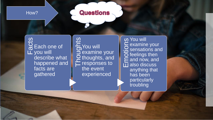#### How?

## Questions

 $\frac{5}{6}$  Each one of you will describe what happened and facts are **gathered** 

se<br>
Thoughts<br>
C thoughts<br>
C respons examine your **Q** thoughts, and responses to the event experienced

**o** You will **S** You will<br>
C examine<br>
C sensatio<br>
C feelings<br>
E and now<br> **Lu** also disc examine your  $\frac{1}{2}$  sensations and  $\overline{O}$  feelings then **E** and now, and  $\overline{11}$  also discuss anything that has been particularly troubling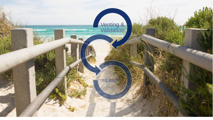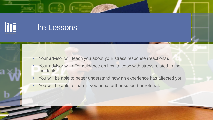

- Your advisor will teach you about your stress response (reactions).
- Your advisor will offer guidance on how to cope with stress related to the incidents.
- You will be able to better understand how an experience has affected you.
- You will be able to learn if you need further support or referral.